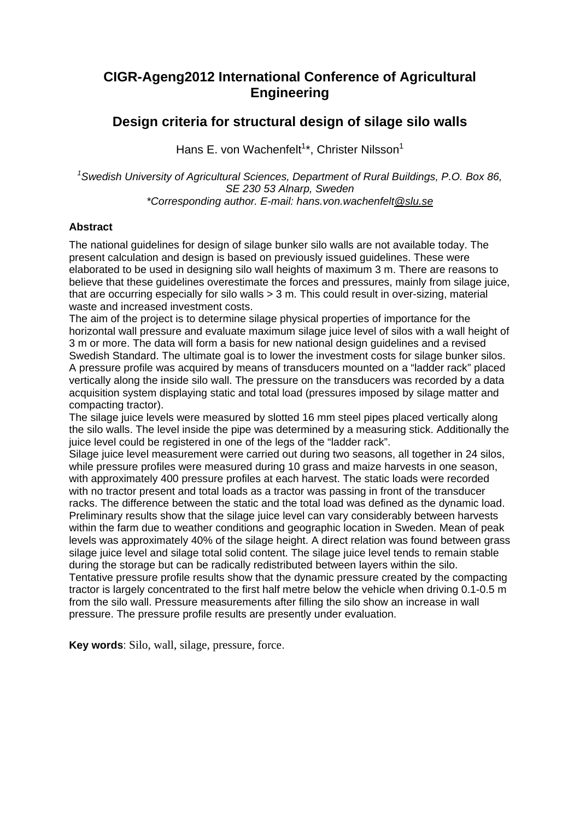# **CIGR-Ageng2012 International Conference of Agricultural Engineering**

# **Design criteria for structural design of silage silo walls**

Hans E. von Wachenfelt<sup>1\*</sup>, Christer Nilsson<sup>1</sup>

*1 Swedish University of Agricultural Sciences, Department of Rural Buildings, P.O. Box 86, SE 230 53 Alnarp, Sweden \*Corresponding author. E-mail: hans.von.wachenfelt@slu.se*

## **Abstract**

The national guidelines for design of silage bunker silo walls are not available today. The present calculation and design is based on previously issued guidelines. These were elaborated to be used in designing silo wall heights of maximum 3 m. There are reasons to believe that these guidelines overestimate the forces and pressures, mainly from silage juice, that are occurring especially for silo walls > 3 m. This could result in over-sizing, material waste and increased investment costs.

The aim of the project is to determine silage physical properties of importance for the horizontal wall pressure and evaluate maximum silage juice level of silos with a wall height of 3 m or more. The data will form a basis for new national design guidelines and a revised Swedish Standard. The ultimate goal is to lower the investment costs for silage bunker silos. A pressure profile was acquired by means of transducers mounted on a "ladder rack" placed vertically along the inside silo wall. The pressure on the transducers was recorded by a data acquisition system displaying static and total load (pressures imposed by silage matter and compacting tractor).

The silage juice levels were measured by slotted 16 mm steel pipes placed vertically along the silo walls. The level inside the pipe was determined by a measuring stick. Additionally the juice level could be registered in one of the legs of the "ladder rack".

Silage juice level measurement were carried out during two seasons, all together in 24 silos, while pressure profiles were measured during 10 grass and maize harvests in one season, with approximately 400 pressure profiles at each harvest. The static loads were recorded with no tractor present and total loads as a tractor was passing in front of the transducer racks. The difference between the static and the total load was defined as the dynamic load. Preliminary results show that the silage juice level can vary considerably between harvests within the farm due to weather conditions and geographic location in Sweden. Mean of peak levels was approximately 40% of the silage height. A direct relation was found between grass silage juice level and silage total solid content. The silage juice level tends to remain stable during the storage but can be radically redistributed between layers within the silo. Tentative pressure profile results show that the dynamic pressure created by the compacting tractor is largely concentrated to the first half metre below the vehicle when driving 0.1-0.5 m from the silo wall. Pressure measurements after filling the silo show an increase in wall pressure. The pressure profile results are presently under evaluation.

**Key words**: Silo, wall, silage, pressure, force.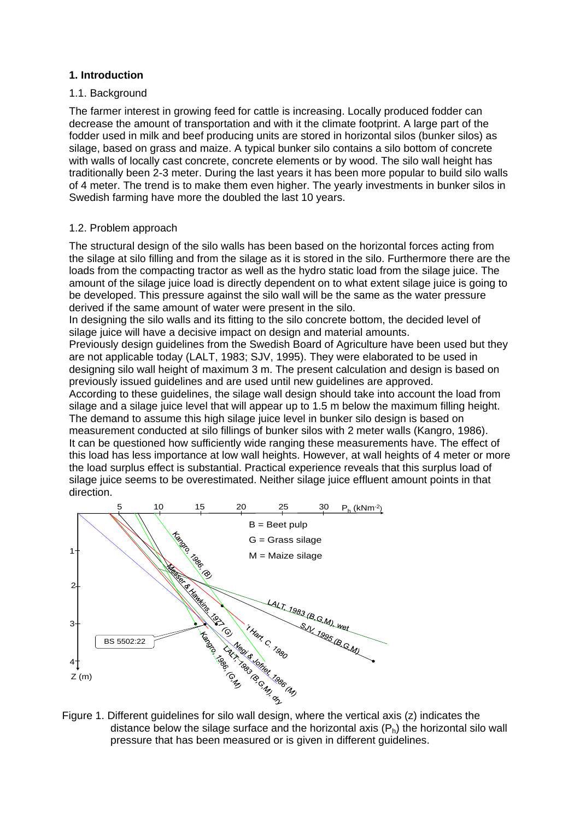## **1. Introduction**

#### 1.1. Background

The farmer interest in growing feed for cattle is increasing. Locally produced fodder can decrease the amount of transportation and with it the climate footprint. A large part of the fodder used in milk and beef producing units are stored in horizontal silos (bunker silos) as silage, based on grass and maize. A typical bunker silo contains a silo bottom of concrete with walls of locally cast concrete, concrete elements or by wood. The silo wall height has traditionally been 2-3 meter. During the last years it has been more popular to build silo walls of 4 meter. The trend is to make them even higher. The yearly investments in bunker silos in Swedish farming have more the doubled the last 10 years.

#### 1.2. Problem approach

The structural design of the silo walls has been based on the horizontal forces acting from the silage at silo filling and from the silage as it is stored in the silo. Furthermore there are the loads from the compacting tractor as well as the hydro static load from the silage juice. The amount of the silage juice load is directly dependent on to what extent silage juice is going to be developed. This pressure against the silo wall will be the same as the water pressure derived if the same amount of water were present in the silo.

In designing the silo walls and its fitting to the silo concrete bottom, the decided level of silage juice will have a decisive impact on design and material amounts.

Previously design guidelines from the Swedish Board of Agriculture have been used but they are not applicable today (LALT, 1983; SJV, 1995). They were elaborated to be used in designing silo wall height of maximum 3 m. The present calculation and design is based on previously issued guidelines and are used until new guidelines are approved.

According to these guidelines, the silage wall design should take into account the load from silage and a silage juice level that will appear up to 1.5 m below the maximum filling height. The demand to assume this high silage juice level in bunker silo design is based on measurement conducted at silo fillings of bunker silos with 2 meter walls (Kangro, 1986). It can be questioned how sufficiently wide ranging these measurements have. The effect of this load has less importance at low wall heights. However, at wall heights of 4 meter or more the load surplus effect is substantial. Practical experience reveals that this surplus load of silage juice seems to be overestimated. Neither silage juice effluent amount points in that direction.



distance below the silage surface and the horizontal axis  $(P_h)$  the horizontal silo wall pressure that has been measured or is given in different guidelines.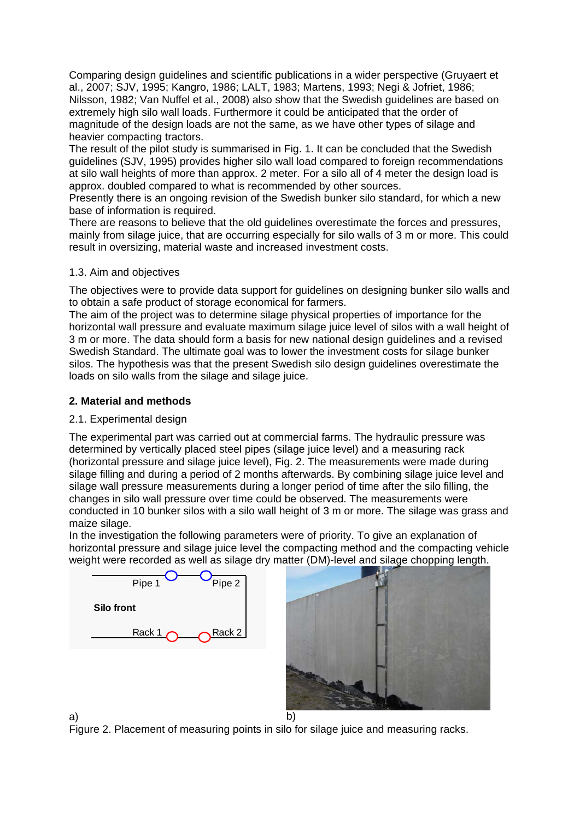Comparing design guidelines and scientific publications in a wider perspective (Gruyaert et al., 2007; SJV, 1995; Kangro, 1986; LALT, 1983; Martens, 1993; Negi & Jofriet, 1986; Nilsson, 1982; Van Nuffel et al., 2008) also show that the Swedish guidelines are based on extremely high silo wall loads. Furthermore it could be anticipated that the order of magnitude of the design loads are not the same, as we have other types of silage and heavier compacting tractors.

The result of the pilot study is summarised in Fig. 1. It can be concluded that the Swedish guidelines (SJV, 1995) provides higher silo wall load compared to foreign recommendations at silo wall heights of more than approx. 2 meter. For a silo all of 4 meter the design load is approx. doubled compared to what is recommended by other sources.

Presently there is an ongoing revision of the Swedish bunker silo standard, for which a new base of information is required.

There are reasons to believe that the old guidelines overestimate the forces and pressures, mainly from silage juice, that are occurring especially for silo walls of 3 m or more. This could result in oversizing, material waste and increased investment costs.

## 1.3. Aim and objectives

The objectives were to provide data support for guidelines on designing bunker silo walls and to obtain a safe product of storage economical for farmers.

The aim of the project was to determine silage physical properties of importance for the horizontal wall pressure and evaluate maximum silage juice level of silos with a wall height of 3 m or more. The data should form a basis for new national design guidelines and a revised Swedish Standard. The ultimate goal was to lower the investment costs for silage bunker silos. The hypothesis was that the present Swedish silo design guidelines overestimate the loads on silo walls from the silage and silage juice.

# **2. Material and methods**

## 2.1. Experimental design

The experimental part was carried out at commercial farms. The hydraulic pressure was determined by vertically placed steel pipes (silage juice level) and a measuring rack (horizontal pressure and silage juice level), Fig. 2. The measurements were made during silage filling and during a period of 2 months afterwards. By combining silage juice level and silage wall pressure measurements during a longer period of time after the silo filling, the changes in silo wall pressure over time could be observed. The measurements were conducted in 10 bunker silos with a silo wall height of 3 m or more. The silage was grass and maize silage.

In the investigation the following parameters were of priority. To give an explanation of horizontal pressure and silage juice level the compacting method and the compacting vehicle weight were recorded as well as silage dry matter (DM)-level and silage chopping length.





a) b) Figure 2. Placement of measuring points in silo for silage juice and measuring racks.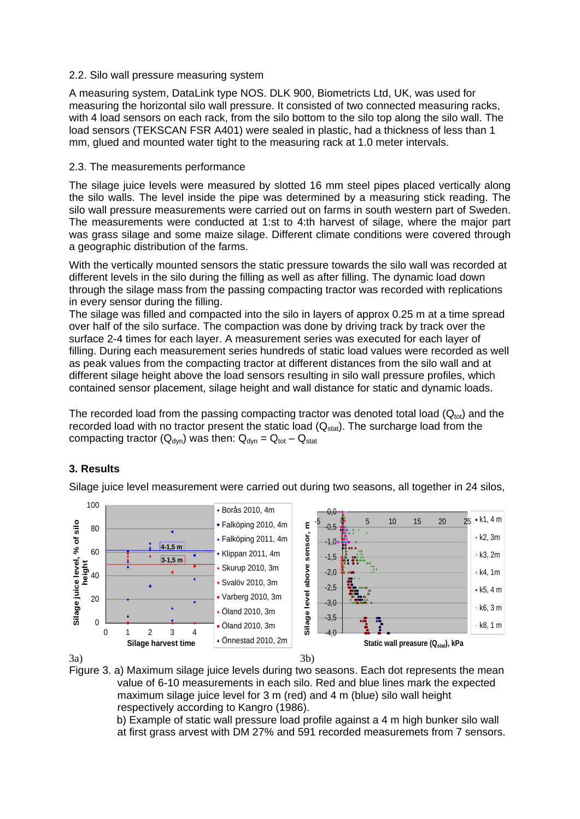### 2.2. Silo wall pressure measuring system

A measuring system, DataLink type NOS. DLK 900, Biometricts Ltd, UK, was used for measuring the horizontal silo wall pressure. It consisted of two connected measuring racks, with 4 load sensors on each rack, from the silo bottom to the silo top along the silo wall. The load sensors (TEKSCAN FSR A401) were sealed in plastic, had a thickness of less than 1 mm, glued and mounted water tight to the measuring rack at 1.0 meter intervals.

### 2.3. The measurements performance

The silage juice levels were measured by slotted 16 mm steel pipes placed vertically along the silo walls. The level inside the pipe was determined by a measuring stick reading. The silo wall pressure measurements were carried out on farms in south western part of Sweden. The measurements were conducted at 1:st to 4:th harvest of silage, where the major part was grass silage and some maize silage. Different climate conditions were covered through a geographic distribution of the farms.

With the vertically mounted sensors the static pressure towards the silo wall was recorded at different levels in the silo during the filling as well as after filling. The dynamic load down through the silage mass from the passing compacting tractor was recorded with replications in every sensor during the filling.

The silage was filled and compacted into the silo in layers of approx 0.25 m at a time spread over half of the silo surface. The compaction was done by driving track by track over the surface 2-4 times for each layer. A measurement series was executed for each layer of filling. During each measurement series hundreds of static load values were recorded as well as peak values from the compacting tractor at different distances from the silo wall and at different silage height above the load sensors resulting in silo wall pressure profiles, which contained sensor placement, silage height and wall distance for static and dynamic loads.

The recorded load from the passing compacting tractor was denoted total load  $(Q_{\text{tot}})$  and the recorded load with no tractor present the static load  $(Q<sub>stat</sub>)$ . The surcharge load from the compacting tractor ( $Q_{dyn}$ ) was then:  $Q_{dyn} = Q_{tot} - Q_{stat}$ 

## **3. Results**

Silage juice level measurement were carried out during two seasons, all together in 24 silos,



3a)



 b) Example of static wall pressure load profile against a 4 m high bunker silo wall at first grass arvest with DM 27% and 591 recorded measuremets from 7 sensors.

3b)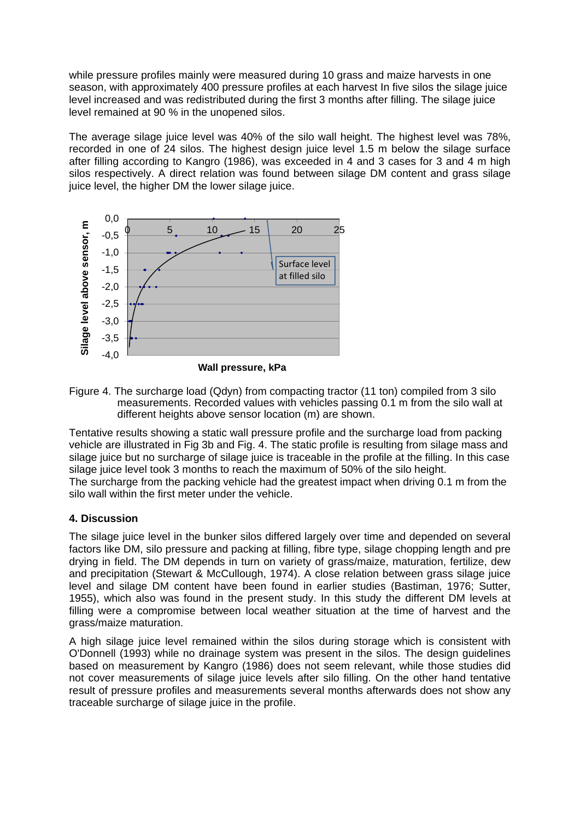while pressure profiles mainly were measured during 10 grass and maize harvests in one season, with approximately 400 pressure profiles at each harvest In five silos the silage juice level increased and was redistributed during the first 3 months after filling. The silage juice level remained at 90 % in the unopened silos.

The average silage juice level was 40% of the silo wall height. The highest level was 78%, recorded in one of 24 silos. The highest design juice level 1.5 m below the silage surface after filling according to Kangro (1986), was exceeded in 4 and 3 cases for 3 and 4 m high silos respectively. A direct relation was found between silage DM content and grass silage juice level, the higher DM the lower silage juice.



Figure 4. The surcharge load (Qdyn) from compacting tractor (11 ton) compiled from 3 silo measurements. Recorded values with vehicles passing 0.1 m from the silo wall at different heights above sensor location (m) are shown.

Tentative results showing a static wall pressure profile and the surcharge load from packing vehicle are illustrated in Fig 3b and Fig. 4. The static profile is resulting from silage mass and silage juice but no surcharge of silage juice is traceable in the profile at the filling. In this case silage juice level took 3 months to reach the maximum of 50% of the silo height. The surcharge from the packing vehicle had the greatest impact when driving 0.1 m from the silo wall within the first meter under the vehicle.

# **4. Discussion**

The silage juice level in the bunker silos differed largely over time and depended on several factors like DM, silo pressure and packing at filling, fibre type, silage chopping length and pre drying in field. The DM depends in turn on variety of grass/maize, maturation, fertilize, dew and precipitation (Stewart & McCullough, 1974). A close relation between grass silage juice level and silage DM content have been found in earlier studies (Bastiman, 1976; Sutter, 1955), which also was found in the present study. In this study the different DM levels at filling were a compromise between local weather situation at the time of harvest and the grass/maize maturation.

A high silage juice level remained within the silos during storage which is consistent with O'Donnell (1993) while no drainage system was present in the silos. The design guidelines based on measurement by Kangro (1986) does not seem relevant, while those studies did not cover measurements of silage juice levels after silo filling. On the other hand tentative result of pressure profiles and measurements several months afterwards does not show any traceable surcharge of silage juice in the profile.